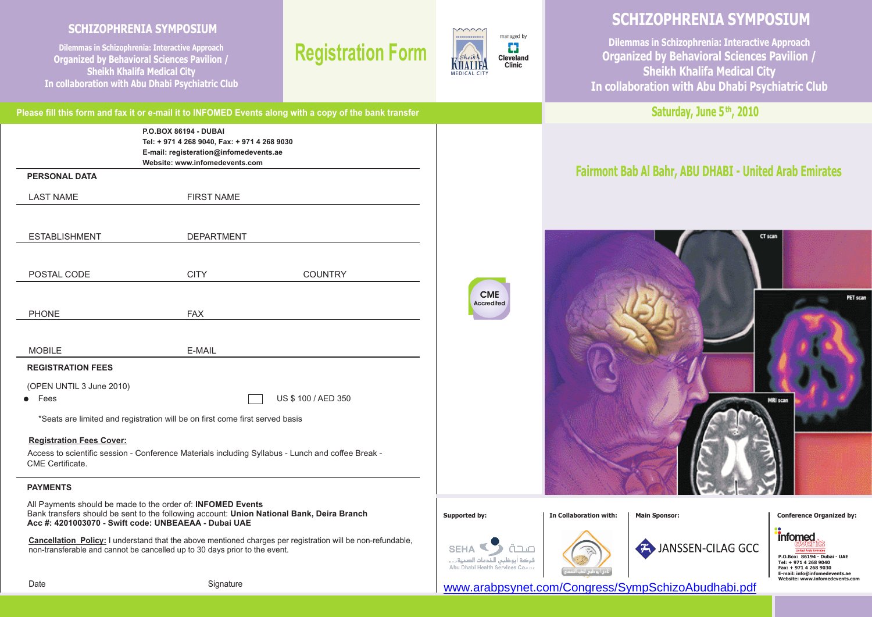# **SCHIZOPHRENIA SYMPOSIUM**

**Dilemmas in Schizophrenia: Interactive Approach Organized b y Behavioral Sciences Pavilion / Sheikh Khalifa Medical City In collaboration with Abu Dhabi Psychiatric Club**

# **Registration Form**



**CME Accredited**

# **SCHIZOPHRENIA SYMPOSIUM**

**Dilemmas in Schizophrenia: Interactive Approach Organized b y Behavioral Sciences Pavilion / Sheikh Khalifa Medical City In collaboration with Abu Dhabi Psychiatric Club**

**Saturday, June 5<sup>th</sup>, 2010** 

# **Fairmont Bab Al Bahr, ABU DHABI - United Arab Emirates**



**SFHA** 



JANSSEN-CILAG GCC

*informed* **P.O.Box: 86194 - Dubai - UAE Tel: + 971 4 268 9040 Fax: + 971 4 268 9030 E-mail: info@infomedevents.ae Website: www.infomeder** 

<www.arabpsynet.com/Congress/SympSchizoAbudhabi.pdf>

|                                 |                                                                                                                                                   | Please fill this form and fax it or e-mail it to INFOMED Events along with a copy of the bank transfer |
|---------------------------------|---------------------------------------------------------------------------------------------------------------------------------------------------|--------------------------------------------------------------------------------------------------------|
|                                 | P.O.BOX 86194 - DUBAI<br>Tel: + 971 4 268 9040, Fax: + 971 4 268 9030<br>E-mail: registeration@infomedevents.ae<br>Website: www.infomedevents.com |                                                                                                        |
| <b>PERSONAL DATA</b>            |                                                                                                                                                   |                                                                                                        |
| <b>LAST NAME</b>                | <b>FIRST NAME</b>                                                                                                                                 |                                                                                                        |
|                                 |                                                                                                                                                   |                                                                                                        |
| <b>ESTABLISHMENT</b>            | <b>DEPARTMENT</b>                                                                                                                                 |                                                                                                        |
|                                 |                                                                                                                                                   |                                                                                                        |
| POSTAL CODE                     | <b>CITY</b>                                                                                                                                       | <b>COUNTRY</b>                                                                                         |
|                                 |                                                                                                                                                   |                                                                                                        |
| <b>PHONE</b>                    | <b>FAX</b>                                                                                                                                        |                                                                                                        |
|                                 |                                                                                                                                                   |                                                                                                        |
| <b>MOBILE</b>                   | E-MAIL                                                                                                                                            |                                                                                                        |
| <b>REGISTRATION FEES</b>        |                                                                                                                                                   |                                                                                                        |
| (OPEN UNTIL 3 June 2010)        |                                                                                                                                                   |                                                                                                        |
| Fees                            |                                                                                                                                                   | US \$100 / AED 350                                                                                     |
|                                 | *Seats are limited and registration will be on first come first served basis                                                                      |                                                                                                        |
| <b>Registration Fees Cover:</b> |                                                                                                                                                   |                                                                                                        |
|                                 | Access to scientific session - Conference Materials including Syllabus - Lunch and coffee Break -                                                 |                                                                                                        |

# CME Certificate.

# **PAYMENTS**

All Payments should be made to the order of: **INFOMED Events** Bank transfers should be sent to the following account: **Union National Bank, Deira Branch Acc #: 4201003070 - Swift code: UNBEAEAA - Dubai UAE**

**Cancellation Policy:** I understand that the above mentioned charges per registration will be non-refundable, non-transferable and cannot be cancelled up to 30 days prior to the event.